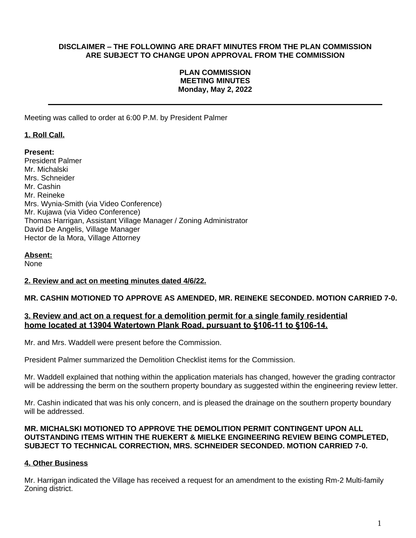## **DISCLAIMER – THE FOLLOWING ARE DRAFT MINUTES FROM THE PLAN COMMISSION ARE SUBJECT TO CHANGE UPON APPROVAL FROM THE COMMISSION**

## **PLAN COMMISSION MEETING MINUTES Monday, May 2, 2022**

Meeting was called to order at 6:00 P.M. by President Palmer

# **1. Roll Call.**

## **Present:**

President Palmer Mr. Michalski Mrs. Schneider Mr. Cashin Mr. Reineke Mrs. Wynia-Smith (via Video Conference) Mr. Kujawa (via Video Conference) Thomas Harrigan, Assistant Village Manager / Zoning Administrator David De Angelis, Village Manager Hector de la Mora, Village Attorney

## **Absent:**

None

## **2. Review and act on meeting minutes dated 4/6/22.**

## **MR. CASHIN MOTIONED TO APPROVE AS AMENDED, MR. REINEKE SECONDED. MOTION CARRIED 7-0.**

# **3. Review and act on a request for a demolition permit for a single family residential home located at 13904 Watertown Plank Road, pursuant to §106-11 to §106-14.**

Mr. and Mrs. Waddell were present before the Commission.

President Palmer summarized the Demolition Checklist items for the Commission.

Mr. Waddell explained that nothing within the application materials has changed, however the grading contractor will be addressing the berm on the southern property boundary as suggested within the engineering review letter.

Mr. Cashin indicated that was his only concern, and is pleased the drainage on the southern property boundary will be addressed.

## **MR. MICHALSKI MOTIONED TO APPROVE THE DEMOLITION PERMIT CONTINGENT UPON ALL OUTSTANDING ITEMS WITHIN THE RUEKERT & MIELKE ENGINEERING REVIEW BEING COMPLETED, SUBJECT TO TECHNICAL CORRECTION, MRS. SCHNEIDER SECONDED. MOTION CARRIED 7-0.**

# **4. Other Business**

Mr. Harrigan indicated the Village has received a request for an amendment to the existing Rm-2 Multi-family Zoning district.